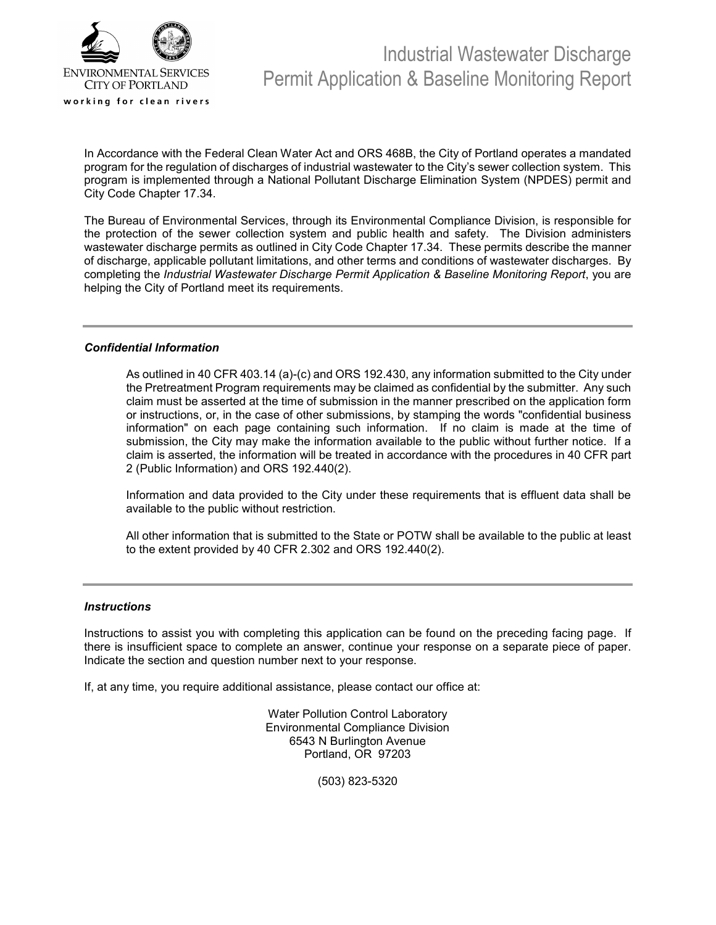

In Accordance with the Federal Clean Water Act and ORS 468B, the City of Portland operates a mandated program for the regulation of discharges of industrial wastewater to the City's sewer collection system. This program is implemented through a National Pollutant Discharge Elimination System (NPDES) permit and City Code Chapter 17.34.

The Bureau of Environmental Services, through its Environmental Compliance Division, is responsible for the protection of the sewer collection system and public health and safety. The Division administers wastewater discharge permits as outlined in City Code Chapter 17.34. These permits describe the manner of discharge, applicable pollutant limitations, and other terms and conditions of wastewater discharges. By completing the *Industrial Wastewater Discharge Permit Application & Baseline Monitoring Report*, you are helping the City of Portland meet its requirements.

#### *Confidential Information*

As outlined in 40 CFR 403.14 (a)-(c) and ORS 192.430, any information submitted to the City under the Pretreatment Program requirements may be claimed as confidential by the submitter. Any such claim must be asserted at the time of submission in the manner prescribed on the application form or instructions, or, in the case of other submissions, by stamping the words "confidential business information" on each page containing such information. If no claim is made at the time of submission, the City may make the information available to the public without further notice. If a claim is asserted, the information will be treated in accordance with the procedures in 40 CFR part 2 (Public Information) and ORS 192.440(2).

Information and data provided to the City under these requirements that is effluent data shall be available to the public without restriction.

All other information that is submitted to the State or POTW shall be available to the public at least to the extent provided by 40 CFR 2.302 and ORS 192.440(2).

#### *Instructions*

Instructions to assist you with completing this application can be found on the preceding facing page. If there is insufficient space to complete an answer, continue your response on a separate piece of paper. Indicate the section and question number next to your response.

If, at any time, you require additional assistance, please contact our office at:

Water Pollution Control Laboratory Environmental Compliance Division 6543 N Burlington Avenue Portland, OR 97203

(503) 823-5320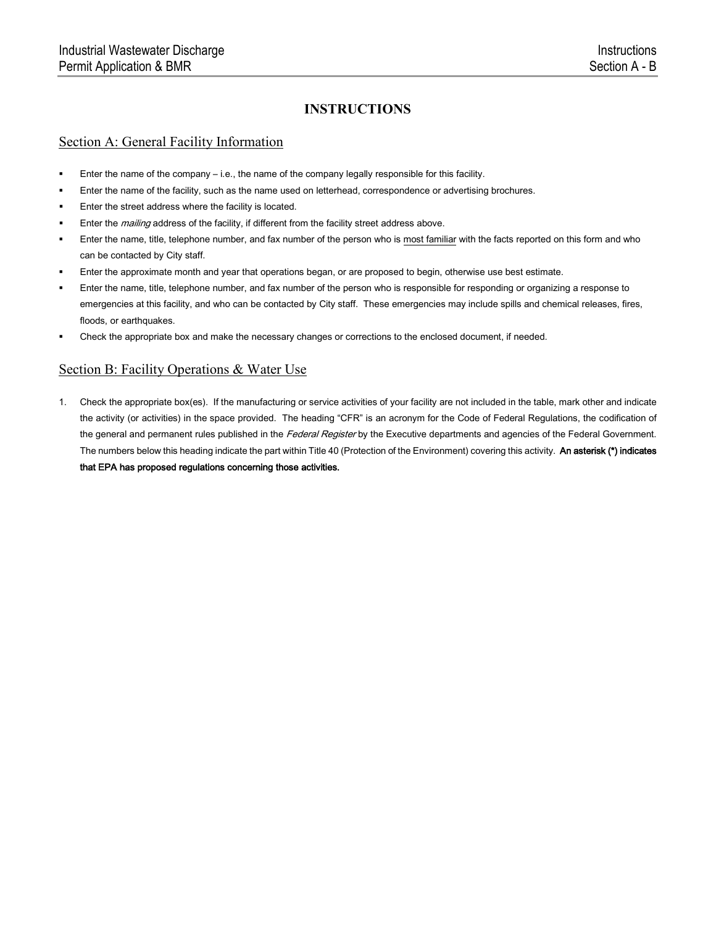#### Section A: General Facility Information

- Enter the name of the company i.e., the name of the company legally responsible for this facility.
- Enter the name of the facility, such as the name used on letterhead, correspondence or advertising brochures.
- Enter the street address where the facility is located.
- Enter the *mailing* address of the facility, if different from the facility street address above.
- Enter the name, title, telephone number, and fax number of the person who is most familiar with the facts reported on this form and who can be contacted by City staff.
- Enter the approximate month and year that operations began, or are proposed to begin, otherwise use best estimate.
- Enter the name, title, telephone number, and fax number of the person who is responsible for responding or organizing a response to emergencies at this facility, and who can be contacted by City staff. These emergencies may include spills and chemical releases, fires, floods, or earthquakes.
- Check the appropriate box and make the necessary changes or corrections to the enclosed document, if needed.

### Section B: Facility Operations & Water Use

1. Check the appropriate box(es). If the manufacturing or service activities of your facility are not included in the table, mark other and indicate the activity (or activities) in the space provided. The heading "CFR" is an acronym for the Code of Federal Regulations, the codification of the general and permanent rules published in the Federal Register by the Executive departments and agencies of the Federal Government. The numbers below this heading indicate the part within Title 40 (Protection of the Environment) covering this activity. An asterisk (\*) indicates that EPA has proposed regulations concerning those activities.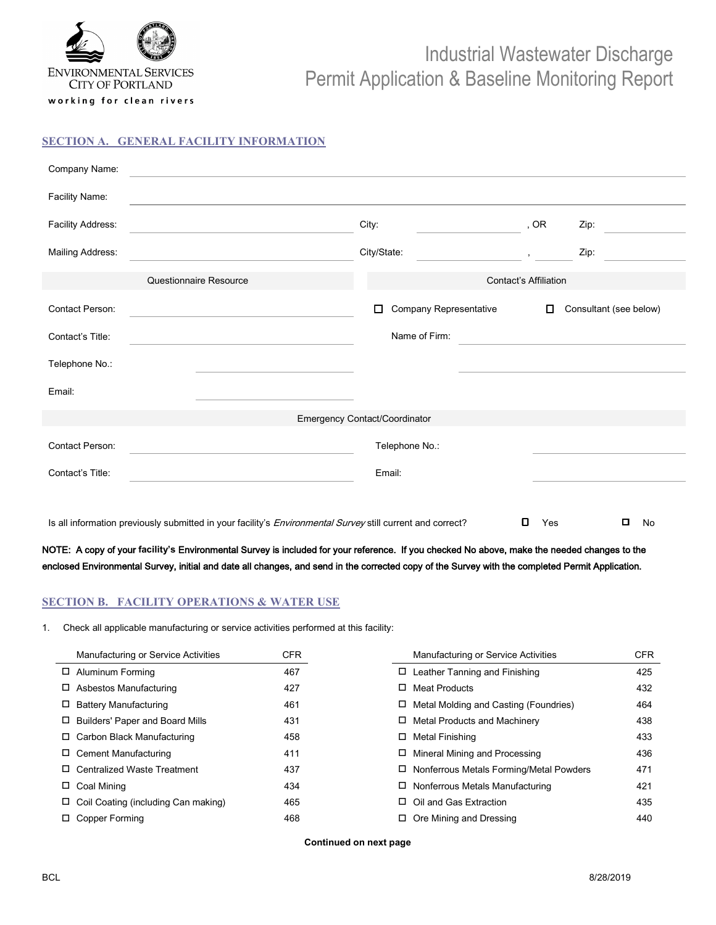

working for clean rivers

# Industrial Wastewater Discharge Permit Application & Baseline Monitoring Report

#### **SECTION A. GENERAL FACILITY INFORMATION**

| Company Name:     |                                                                                                            |                                  |                                                       |                        |
|-------------------|------------------------------------------------------------------------------------------------------------|----------------------------------|-------------------------------------------------------|------------------------|
| Facility Name:    |                                                                                                            |                                  |                                                       |                        |
| Facility Address: |                                                                                                            | City:                            | , OR                                                  | Zip:                   |
| Mailing Address:  |                                                                                                            | City/State:                      | $\mathbf{y} = \mathbf{y}$ , $\mathbf{y} = \mathbf{y}$ | Zip:                   |
|                   | Questionnaire Resource                                                                                     |                                  | <b>Contact's Affiliation</b>                          |                        |
| Contact Person:   |                                                                                                            | Company Representative<br>$\Box$ | $\Box$                                                | Consultant (see below) |
| Contact's Title:  |                                                                                                            | Name of Firm:                    |                                                       |                        |
| Telephone No.:    |                                                                                                            |                                  |                                                       |                        |
| Email:            |                                                                                                            |                                  |                                                       |                        |
|                   |                                                                                                            | Emergency Contact/Coordinator    |                                                       |                        |
| Contact Person:   |                                                                                                            | Telephone No.:                   |                                                       |                        |
| Contact's Title:  |                                                                                                            | Email:                           |                                                       |                        |
|                   |                                                                                                            |                                  |                                                       |                        |
|                   | Is all information previously submitted in your facility's Environmental Survey still current and correct? |                                  | o<br>Yes                                              | □<br>No                |

NOTE: A copy of your **facility's** Environmental Survey is included for your reference. If you checked No above, make the needed changes to the enclosed Environmental Survey, initial and date all changes, and send in the corrected copy of the Survey with the completed Permit Application.

#### **SECTION B. FACILITY OPERATIONS & WATER USE**

1. Check all applicable manufacturing or service activities performed at this facility:

| Manufacturing or Service Activities | CFR.                                                                                                                                                                                                                                                                | Manufacturing or Service Activities   | <b>CFR</b>                                                                                                                                                              |
|-------------------------------------|---------------------------------------------------------------------------------------------------------------------------------------------------------------------------------------------------------------------------------------------------------------------|---------------------------------------|-------------------------------------------------------------------------------------------------------------------------------------------------------------------------|
|                                     | 467                                                                                                                                                                                                                                                                 |                                       | 425                                                                                                                                                                     |
|                                     | 427                                                                                                                                                                                                                                                                 | <b>Meat Products</b>                  | 432                                                                                                                                                                     |
| <b>Battery Manufacturing</b>        | 461                                                                                                                                                                                                                                                                 | Metal Molding and Casting (Foundries) | 464                                                                                                                                                                     |
|                                     | 431                                                                                                                                                                                                                                                                 | Metal Products and Machinery          | 438                                                                                                                                                                     |
|                                     | 458                                                                                                                                                                                                                                                                 | Metal Finishing                       | 433                                                                                                                                                                     |
|                                     | 411                                                                                                                                                                                                                                                                 | Mineral Mining and Processing         | 436                                                                                                                                                                     |
|                                     | 437                                                                                                                                                                                                                                                                 |                                       | 471                                                                                                                                                                     |
|                                     | 434                                                                                                                                                                                                                                                                 |                                       | 421                                                                                                                                                                     |
|                                     | 465                                                                                                                                                                                                                                                                 | Oil and Gas Extraction                | 435                                                                                                                                                                     |
|                                     | 468                                                                                                                                                                                                                                                                 |                                       | 440                                                                                                                                                                     |
|                                     | □ Aluminum Forming<br>Asbestos Manufacturing<br><b>Builders' Paper and Board Mills</b><br>$\Box$ Carbon Black Manufacturing<br>Cement Manufacturing<br>□ Centralized Waste Treatment<br>$\Box$ Coal Mining<br>Coil Coating (including Can making)<br>Copper Forming |                                       | $\Box$ Leather Tanning and Finishing<br>0<br>$\Box$ Nonferrous Metals Forming/Metal Powders<br>$\Box$ Nonferrous Metals Manufacturing<br>$\Box$ Ore Mining and Dressing |

**Continued on next page**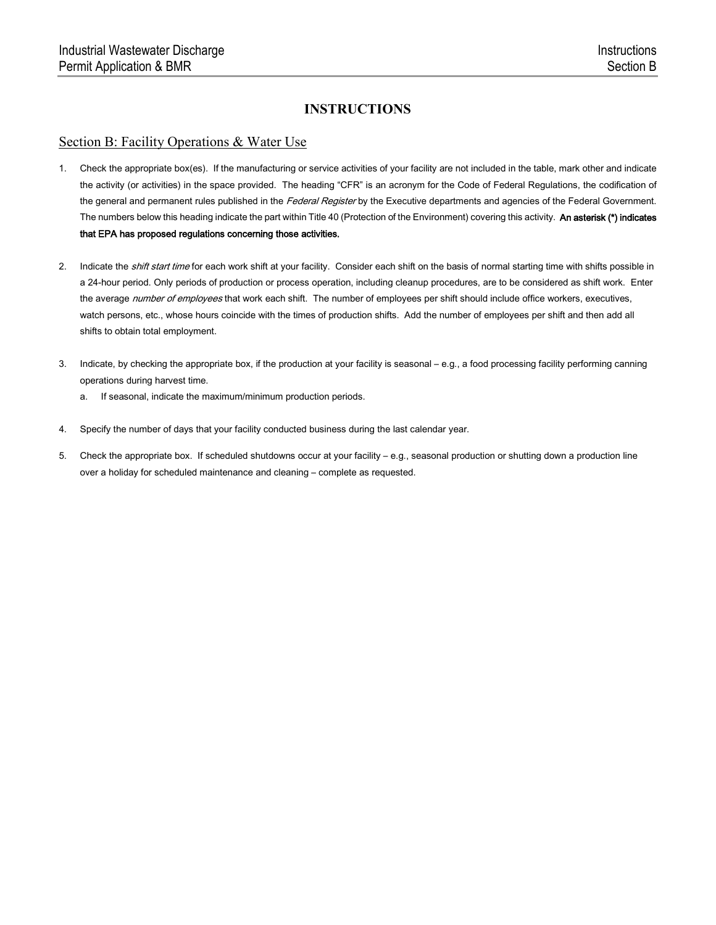#### Section B: Facility Operations & Water Use

- 1. Check the appropriate box(es). If the manufacturing or service activities of your facility are not included in the table, mark other and indicate the activity (or activities) in the space provided. The heading "CFR" is an acronym for the Code of Federal Regulations, the codification of the general and permanent rules published in the Federal Register by the Executive departments and agencies of the Federal Government. The numbers below this heading indicate the part within Title 40 (Protection of the Environment) covering this activity. An asterisk (\*) indicates that EPA has proposed regulations concerning those activities.
- 2. Indicate the *shift start time* for each work shift at your facility. Consider each shift on the basis of normal starting time with shifts possible in a 24-hour period. Only periods of production or process operation, including cleanup procedures, are to be considered as shift work. Enter the average number of employees that work each shift. The number of employees per shift should include office workers, executives, watch persons, etc., whose hours coincide with the times of production shifts. Add the number of employees per shift and then add all shifts to obtain total employment.
- 3. Indicate, by checking the appropriate box, if the production at your facility is seasonal e.g., a food processing facility performing canning operations during harvest time.
	- a. If seasonal, indicate the maximum/minimum production periods.
- 4. Specify the number of days that your facility conducted business during the last calendar year.
- 5. Check the appropriate box. If scheduled shutdowns occur at your facility e.g., seasonal production or shutting down a production line over a holiday for scheduled maintenance and cleaning – complete as requested.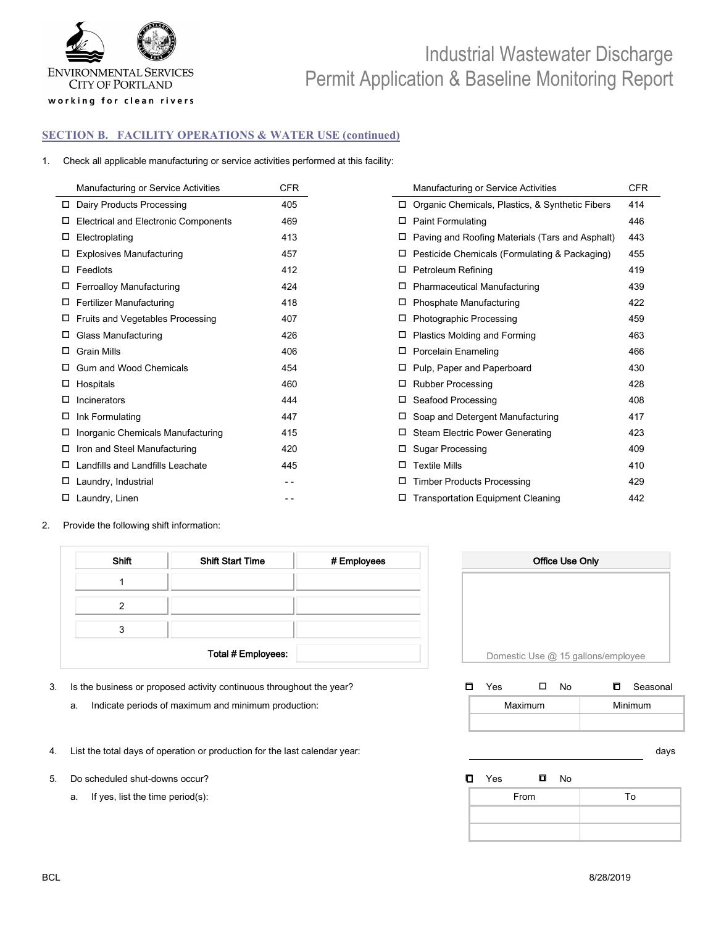

#### **SECTION B. FACILITY OPERATIONS & WATER USE (continued)**

1. Check all applicable manufacturing or service activities performed at this facility:

|        | Manufacturing or Service Activities         | <b>CFR</b> |        | Manufacturing or Service Activities             | <b>CFR</b> |
|--------|---------------------------------------------|------------|--------|-------------------------------------------------|------------|
| □      | Dairy Products Processing                   | 405        |        | Organic Chemicals, Plastics, & Synthetic Fibers | 414        |
|        | <b>Electrical and Electronic Components</b> | 469        |        | <b>Paint Formulating</b>                        | 446        |
| □      | Electroplating                              | 413        |        | Paving and Roofing Materials (Tars and Asphalt) | 443        |
|        | <b>Explosives Manufacturing</b>             | 457        |        | Pesticide Chemicals (Formulating & Packaging)   | 455        |
| □      | Feedlots                                    | 412        | $\Box$ | Petroleum Refining                              | 419        |
|        | <b>Ferroalloy Manufacturing</b>             | 424        |        | Pharmaceutical Manufacturing                    | 439        |
| □      | <b>Fertilizer Manufacturing</b>             | 418        |        | Phosphate Manufacturing                         | 422        |
| $\Box$ | Fruits and Vegetables Processing            | 407        |        | <b>Photographic Processing</b>                  | 459        |
| $\Box$ | Glass Manufacturing                         | 426        |        | Plastics Molding and Forming                    | 463        |
| □      | <b>Grain Mills</b>                          | 406        |        | <b>Porcelain Enameling</b>                      | 466        |
|        | Gum and Wood Chemicals                      | 454        | $\Box$ | Pulp, Paper and Paperboard                      | 430        |
| $\Box$ | Hospitals                                   | 460        |        | <b>Rubber Processing</b>                        | 428        |
| □      | Incinerators                                | 444        | □      | Seafood Processing                              | 408        |
| □      | Ink Formulating                             | 447        |        | Soap and Detergent Manufacturing                | 417        |
| □      | Inorganic Chemicals Manufacturing           | 415        |        | <b>Steam Electric Power Generating</b>          | 423        |
| $\Box$ | Iron and Steel Manufacturing                | 420        |        | <b>Sugar Processing</b>                         | 409        |
| □      | Landfills and Landfills Leachate            | 445        | $\Box$ | <b>Textile Mills</b>                            | 410        |
| □      | Laundry, Industrial                         | $ -$       | □      | <b>Timber Products Processing</b>               | 429        |
|        | Laundry, Linen                              |            |        | <b>Transportation Equipment Cleaning</b>        | 442        |

2. Provide the following shift information:

| <b>Shift</b> | <b>Shift Start Time</b> | # Employees |
|--------------|-------------------------|-------------|
|              |                         |             |
|              |                         |             |
|              |                         |             |
|              | Total # Employees:      |             |

- 3. Is the business or proposed activity continuous throughout the year?
	- a. Indicate periods of maximum and minimum production:
- 4. List the total days of operation or production for the last calendar year: days
- 5. Do scheduled shut-downs occur? **Example 20 Solution Scheduled Shut-downs occur?** 
West **D** Yes **D** Yes **D** Yes **D** 
	- a. If yes, list the time period(s):



| □ | Yes |         | N٥ | Seasonal<br>O. |
|---|-----|---------|----|----------------|
|   |     | Maximum |    | Minimum        |
|   |     |         |    |                |

| From | To |
|------|----|
|      |    |
|      |    |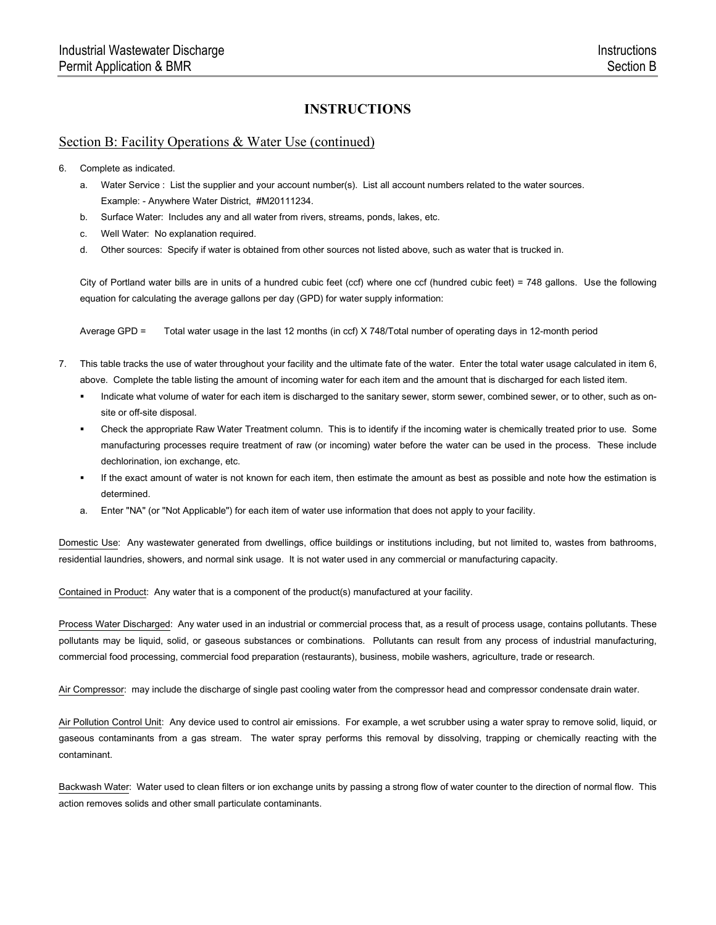#### Section B: Facility Operations & Water Use (continued)

- 6. Complete as indicated.
	- a. Water Service : List the supplier and your account number(s). List all account numbers related to the water sources. Example: - Anywhere Water District, #M20111234.
	- b. Surface Water: Includes any and all water from rivers, streams, ponds, lakes, etc.
	- c. Well Water: No explanation required.
	- d. Other sources: Specify if water is obtained from other sources not listed above, such as water that is trucked in.

City of Portland water bills are in units of a hundred cubic feet (ccf) where one ccf (hundred cubic feet) = 748 gallons. Use the following equation for calculating the average gallons per day (GPD) for water supply information:

Average GPD = Total water usage in the last 12 months (in ccf) X 748/Total number of operating days in 12-month period

- 7. This table tracks the use of water throughout your facility and the ultimate fate of the water. Enter the total water usage calculated in item 6, above. Complete the table listing the amount of incoming water for each item and the amount that is discharged for each listed item.
	- Indicate what volume of water for each item is discharged to the sanitary sewer, storm sewer, combined sewer, or to other, such as onsite or off-site disposal.
	- Check the appropriate Raw Water Treatment column. This is to identify if the incoming water is chemically treated prior to use. Some manufacturing processes require treatment of raw (or incoming) water before the water can be used in the process. These include dechlorination, ion exchange, etc.
	- If the exact amount of water is not known for each item, then estimate the amount as best as possible and note how the estimation is determined.
	- a. Enter "NA" (or "Not Applicable") for each item of water use information that does not apply to your facility.

Domestic Use: Any wastewater generated from dwellings, office buildings or institutions including, but not limited to, wastes from bathrooms, residential laundries, showers, and normal sink usage. It is not water used in any commercial or manufacturing capacity.

Contained in Product: Any water that is a component of the product(s) manufactured at your facility.

Process Water Discharged: Any water used in an industrial or commercial process that, as a result of process usage, contains pollutants. These pollutants may be liquid, solid, or gaseous substances or combinations. Pollutants can result from any process of industrial manufacturing, commercial food processing, commercial food preparation (restaurants), business, mobile washers, agriculture, trade or research.

Air Compressor: may include the discharge of single past cooling water from the compressor head and compressor condensate drain water.

Air Pollution Control Unit: Any device used to control air emissions. For example, a wet scrubber using a water spray to remove solid, liquid, or gaseous contaminants from a gas stream. The water spray performs this removal by dissolving, trapping or chemically reacting with the contaminant.

Backwash Water: Water used to clean filters or ion exchange units by passing a strong flow of water counter to the direction of normal flow. This action removes solids and other small particulate contaminants.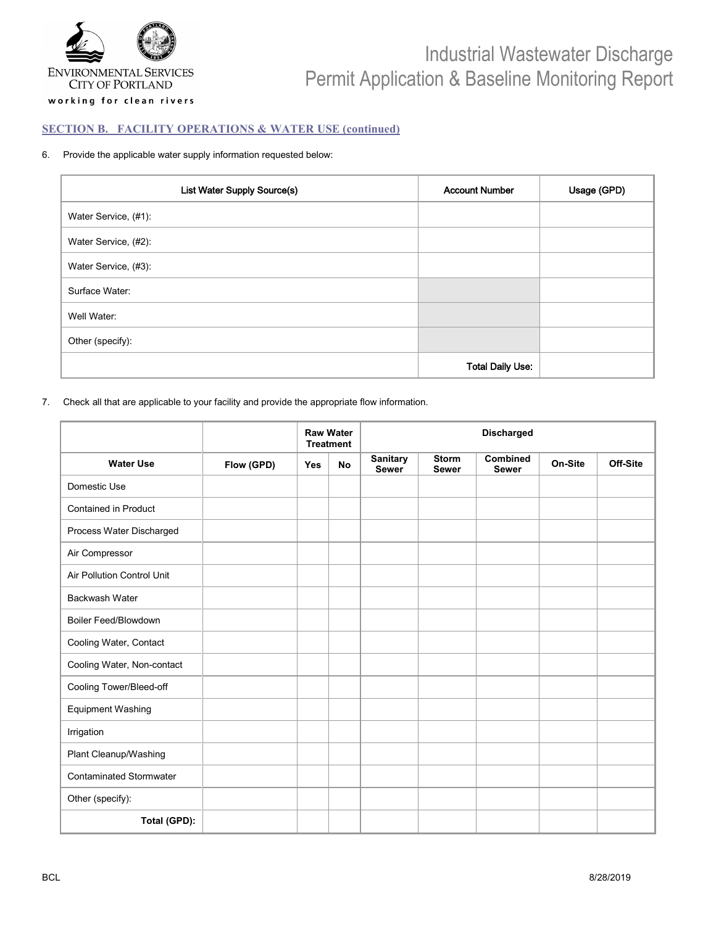

#### **SECTION B. FACILITY OPERATIONS & WATER USE (continued)**

#### 6. Provide the applicable water supply information requested below:

| List Water Supply Source(s) | <b>Account Number</b>   | Usage (GPD) |
|-----------------------------|-------------------------|-------------|
| Water Service, (#1):        |                         |             |
| Water Service, (#2):        |                         |             |
| Water Service, (#3):        |                         |             |
| Surface Water:              |                         |             |
| Well Water:                 |                         |             |
| Other (specify):            |                         |             |
|                             | <b>Total Daily Use:</b> |             |

7. Check all that are applicable to your facility and provide the appropriate flow information.

|                                   |            |     | <b>Raw Water</b><br><b>Treatment</b> | <b>Discharged</b>               |                              |                          |         |          |
|-----------------------------------|------------|-----|--------------------------------------|---------------------------------|------------------------------|--------------------------|---------|----------|
| <b>Water Use</b>                  | Flow (GPD) | Yes | <b>No</b>                            | <b>Sanitary</b><br><b>Sewer</b> | <b>Storm</b><br><b>Sewer</b> | Combined<br><b>Sewer</b> | On-Site | Off-Site |
| Domestic Use                      |            |     |                                      |                                 |                              |                          |         |          |
| <b>Contained in Product</b>       |            |     |                                      |                                 |                              |                          |         |          |
| Process Water Discharged          |            |     |                                      |                                 |                              |                          |         |          |
| Air Compressor                    |            |     |                                      |                                 |                              |                          |         |          |
| <b>Air Pollution Control Unit</b> |            |     |                                      |                                 |                              |                          |         |          |
| <b>Backwash Water</b>             |            |     |                                      |                                 |                              |                          |         |          |
| <b>Boiler Feed/Blowdown</b>       |            |     |                                      |                                 |                              |                          |         |          |
| Cooling Water, Contact            |            |     |                                      |                                 |                              |                          |         |          |
| Cooling Water, Non-contact        |            |     |                                      |                                 |                              |                          |         |          |
| Cooling Tower/Bleed-off           |            |     |                                      |                                 |                              |                          |         |          |
| <b>Equipment Washing</b>          |            |     |                                      |                                 |                              |                          |         |          |
| Irrigation                        |            |     |                                      |                                 |                              |                          |         |          |
| Plant Cleanup/Washing             |            |     |                                      |                                 |                              |                          |         |          |
| <b>Contaminated Stormwater</b>    |            |     |                                      |                                 |                              |                          |         |          |
| Other (specify):                  |            |     |                                      |                                 |                              |                          |         |          |
| Total (GPD):                      |            |     |                                      |                                 |                              |                          |         |          |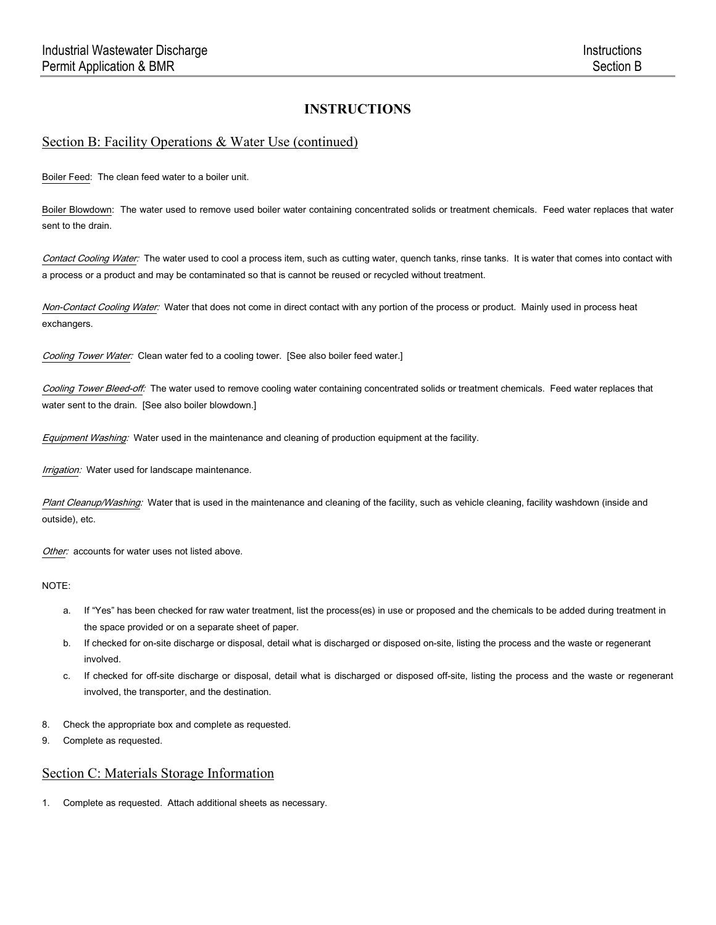#### Section B: Facility Operations & Water Use (continued)

Boiler Feed: The clean feed water to a boiler unit.

Boiler Blowdown: The water used to remove used boiler water containing concentrated solids or treatment chemicals. Feed water replaces that water sent to the drain.

Contact Cooling Water: The water used to cool a process item, such as cutting water, quench tanks, rinse tanks. It is water that comes into contact with a process or a product and may be contaminated so that is cannot be reused or recycled without treatment.

Non-Contact Cooling Water: Water that does not come in direct contact with any portion of the process or product. Mainly used in process heat exchangers.

Cooling Tower Water: Clean water fed to a cooling tower. [See also boiler feed water.]

Cooling Tower Bleed-off: The water used to remove cooling water containing concentrated solids or treatment chemicals. Feed water replaces that water sent to the drain. [See also boiler blowdown.]

Equipment Washing: Water used in the maintenance and cleaning of production equipment at the facility.

Irrigation: Water used for landscape maintenance.

Plant Cleanup/Washing: Water that is used in the maintenance and cleaning of the facility, such as vehicle cleaning, facility washdown (inside and outside), etc.

Other: accounts for water uses not listed above.

NOTE:

- a. If "Yes" has been checked for raw water treatment, list the process(es) in use or proposed and the chemicals to be added during treatment in the space provided or on a separate sheet of paper.
- b. If checked for on-site discharge or disposal, detail what is discharged or disposed on-site, listing the process and the waste or regenerant involved.
- c. If checked for off-site discharge or disposal, detail what is discharged or disposed off-site, listing the process and the waste or regenerant involved, the transporter, and the destination.
- 8. Check the appropriate box and complete as requested.
- 9. Complete as requested.

### Section C: Materials Storage Information

1. Complete as requested. Attach additional sheets as necessary.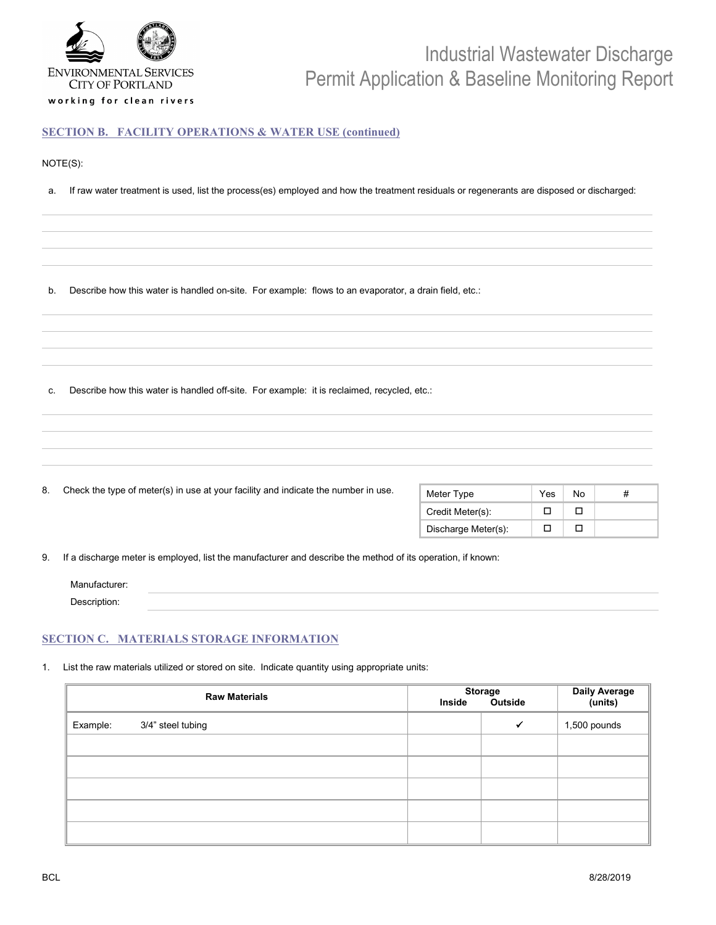

#### **SECTION B. FACILITY OPERATIONS & WATER USE (continued)**

#### NOTE(S):

a. If raw water treatment is used, list the process(es) employed and how the treatment residuals or regenerants are disposed or discharged:

b. Describe how this water is handled on-site. For example: flows to an evaporator, a drain field, etc.:

c. Describe how this water is handled off-site. For example: it is reclaimed, recycled, etc.:

| 8. | Check the type of meter(s) in use at your facility and indicate the number in use. | Meter Type          | Yes | No | # |
|----|------------------------------------------------------------------------------------|---------------------|-----|----|---|
|    |                                                                                    | Credit Meter(s):    | ┑   | □  |   |
|    |                                                                                    | Discharge Meter(s): | □   | □  |   |

#### **SECTION C. MATERIALS STORAGE INFORMATION**

1. List the raw materials utilized or stored on site. Indicate quantity using appropriate units:

|          | <b>Raw Materials</b> | Inside | <b>Storage</b><br>Outside | Daily Average<br>(units) |
|----------|----------------------|--------|---------------------------|--------------------------|
| Example: | 3/4" steel tubing    |        | $\checkmark$              | 1,500 pounds             |
|          |                      |        |                           |                          |
|          |                      |        |                           |                          |
|          |                      |        |                           |                          |
|          |                      |        |                           |                          |
|          |                      |        |                           |                          |

Description: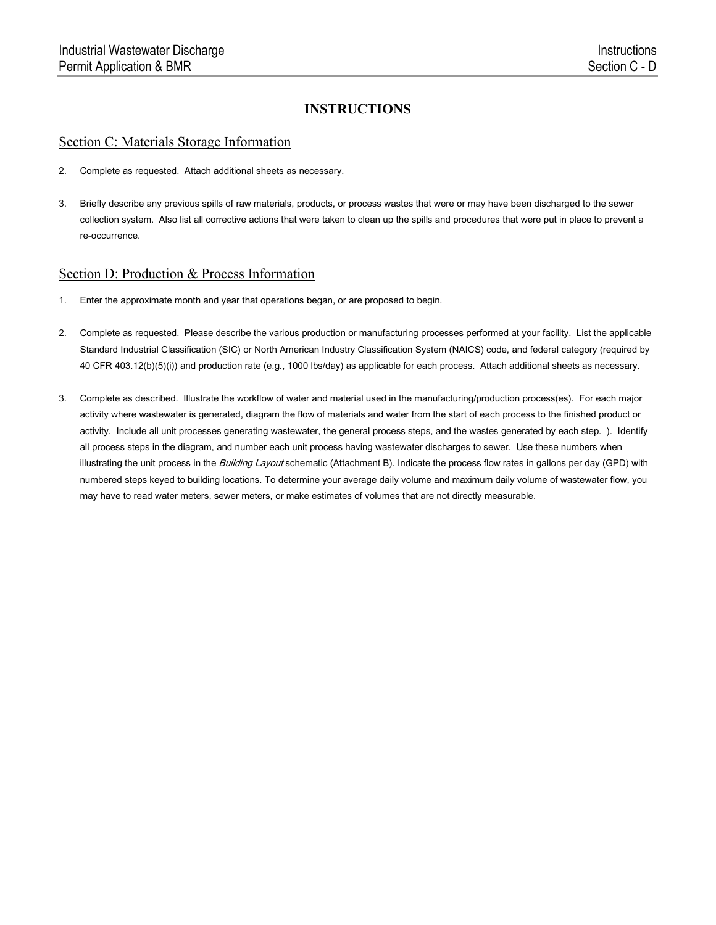#### Section C: Materials Storage Information

- 2. Complete as requested. Attach additional sheets as necessary.
- 3. Briefly describe any previous spills of raw materials, products, or process wastes that were or may have been discharged to the sewer collection system. Also list all corrective actions that were taken to clean up the spills and procedures that were put in place to prevent a re-occurrence.

#### Section D: Production & Process Information

- 1. Enter the approximate month and year that operations began, or are proposed to begin.
- 2. Complete as requested. Please describe the various production or manufacturing processes performed at your facility. List the applicable Standard Industrial Classification (SIC) or North American Industry Classification System (NAICS) code, and federal category (required by 40 CFR 403.12(b)(5)(i)) and production rate (e.g., 1000 lbs/day) as applicable for each process. Attach additional sheets as necessary.
- 3. Complete as described. Illustrate the workflow of water and material used in the manufacturing/production process(es). For each major activity where wastewater is generated, diagram the flow of materials and water from the start of each process to the finished product or activity. Include all unit processes generating wastewater, the general process steps, and the wastes generated by each step. ). Identify all process steps in the diagram, and number each unit process having wastewater discharges to sewer. Use these numbers when illustrating the unit process in the Building Layout schematic (Attachment B). Indicate the process flow rates in gallons per day (GPD) with numbered steps keyed to building locations. To determine your average daily volume and maximum daily volume of wastewater flow, you may have to read water meters, sewer meters, or make estimates of volumes that are not directly measurable.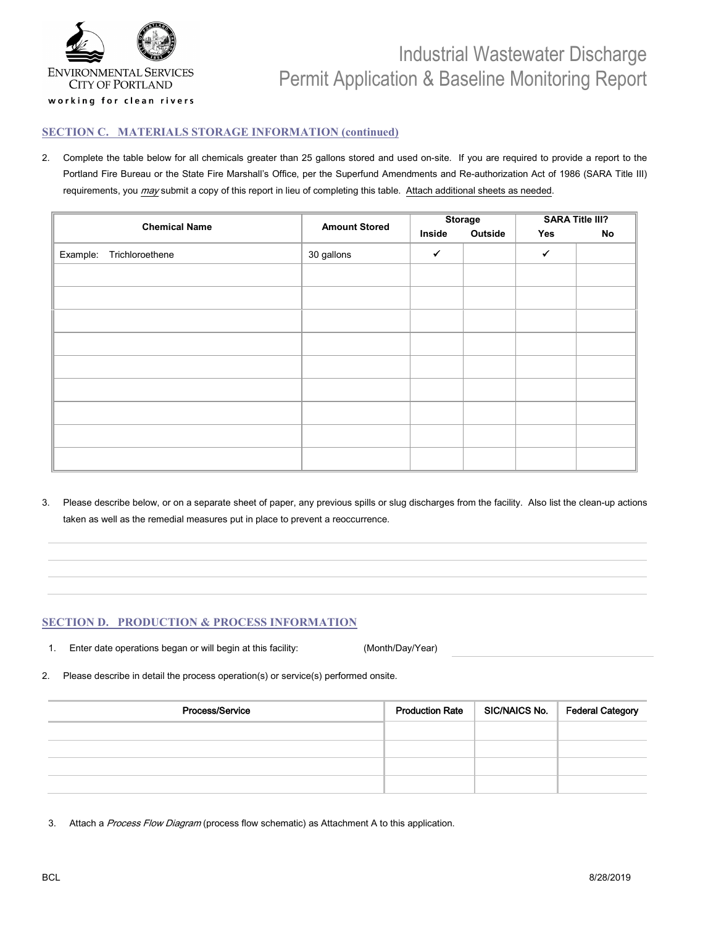

#### **SECTION C. MATERIALS STORAGE INFORMATION (continued)**

2. Complete the table below for all chemicals greater than 25 gallons stored and used on-site. If you are required to provide a report to the Portland Fire Bureau or the State Fire Marshall's Office, per the Superfund Amendments and Re-authorization Act of 1986 (SARA Title III) requirements, you may submit a copy of this report in lieu of completing this table. Attach additional sheets as needed.

| <b>Chemical Name</b>        |            | <b>Storage</b> |         | <b>Amount Stored</b> |    | <b>SARA Title III?</b> |  |  |
|-----------------------------|------------|----------------|---------|----------------------|----|------------------------|--|--|
|                             |            | Inside         | Outside | Yes                  | No |                        |  |  |
| Trichloroethene<br>Example: | 30 gallons | $\checkmark$   |         | $\checkmark$         |    |                        |  |  |
|                             |            |                |         |                      |    |                        |  |  |
|                             |            |                |         |                      |    |                        |  |  |
|                             |            |                |         |                      |    |                        |  |  |
|                             |            |                |         |                      |    |                        |  |  |
|                             |            |                |         |                      |    |                        |  |  |
|                             |            |                |         |                      |    |                        |  |  |
|                             |            |                |         |                      |    |                        |  |  |
|                             |            |                |         |                      |    |                        |  |  |
|                             |            |                |         |                      |    |                        |  |  |
|                             |            |                |         |                      |    |                        |  |  |

3. Please describe below, or on a separate sheet of paper, any previous spills or slug discharges from the facility. Also list the clean-up actions taken as well as the remedial measures put in place to prevent a reoccurrence.

#### **SECTION D. PRODUCTION & PROCESS INFORMATION**

1. Enter date operations began or will begin at this facility: (Month/Day/Year)

2. Please describe in detail the process operation(s) or service(s) performed onsite.

| Process/Service | <b>Production Rate</b> | SIC/NAICS No.   Federal Category |
|-----------------|------------------------|----------------------------------|
|                 |                        |                                  |
|                 |                        |                                  |
|                 |                        |                                  |
|                 |                        |                                  |

3. Attach a Process Flow Diagram (process flow schematic) as Attachment A to this application.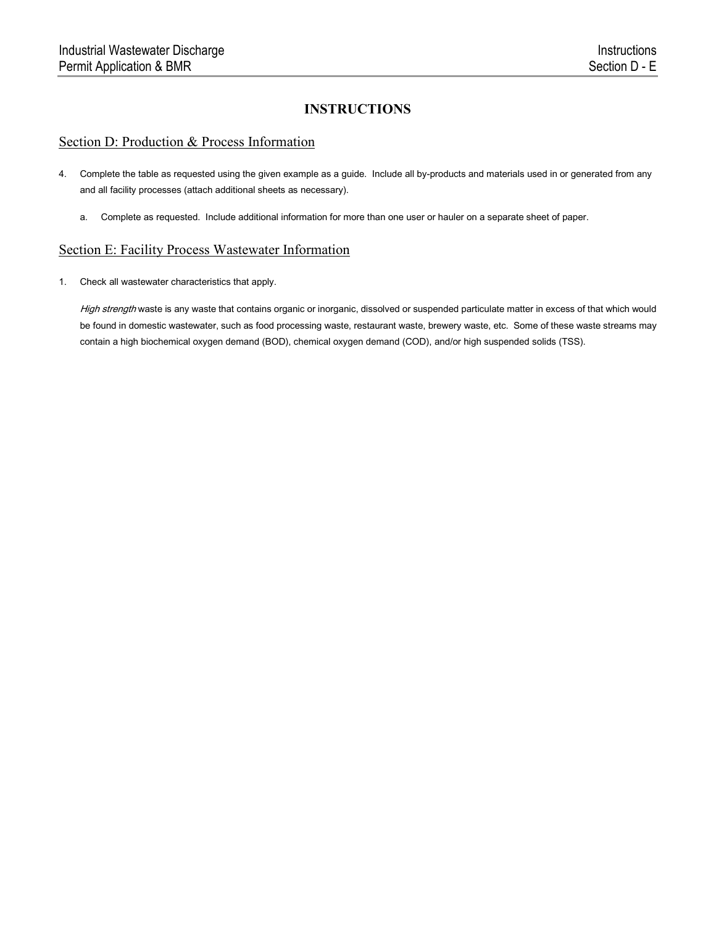#### Section D: Production & Process Information

- 4. Complete the table as requested using the given example as a guide. Include all by-products and materials used in or generated from any and all facility processes (attach additional sheets as necessary).
	- a. Complete as requested. Include additional information for more than one user or hauler on a separate sheet of paper.

#### Section E: Facility Process Wastewater Information

1. Check all wastewater characteristics that apply.

High strength waste is any waste that contains organic or inorganic, dissolved or suspended particulate matter in excess of that which would be found in domestic wastewater, such as food processing waste, restaurant waste, brewery waste, etc. Some of these waste streams may contain a high biochemical oxygen demand (BOD), chemical oxygen demand (COD), and/or high suspended solids (TSS).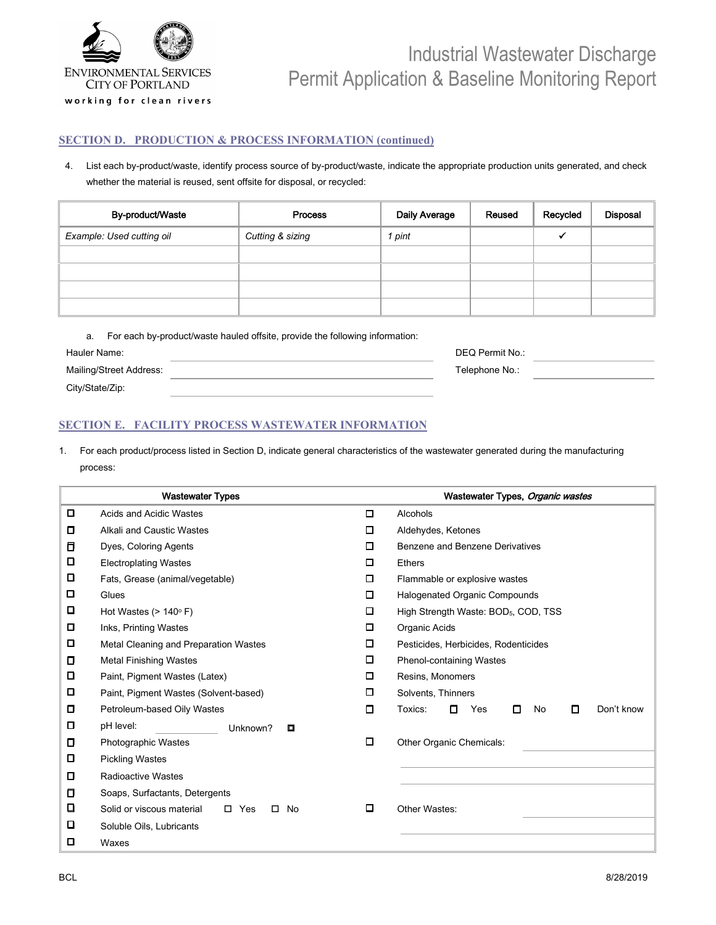

#### **SECTION D. PRODUCTION & PROCESS INFORMATION (continued)**

4. List each by-product/waste, identify process source of by-product/waste, indicate the appropriate production units generated, and check whether the material is reused, sent offsite for disposal, or recycled:

| By-product/Waste          | <b>Process</b>   | Daily Average | Reused | Recycled | <b>Disposal</b> |
|---------------------------|------------------|---------------|--------|----------|-----------------|
| Example: Used cutting oil | Cutting & sizing | 1 pint        |        |          |                 |
|                           |                  |               |        |          |                 |
|                           |                  |               |        |          |                 |
|                           |                  |               |        |          |                 |
|                           |                  |               |        |          |                 |

| а.                      | For each by-product/waste hauled offsite, provide the following information: |                 |  |
|-------------------------|------------------------------------------------------------------------------|-----------------|--|
| Hauler Name:            |                                                                              | DEQ Permit No.: |  |
| Mailing/Street Address: |                                                                              | Telephone No.:  |  |
| City/State/Zip:         |                                                                              |                 |  |

#### **SECTION E. FACILITY PROCESS WASTEWATER INFORMATION**

1. For each product/process listed in Section D, indicate general characteristics of the wastewater generated during the manufacturing process:

|   | <b>Wastewater Types</b>                                 |   | Wastewater Types, Organic wastes                  |  |  |  |
|---|---------------------------------------------------------|---|---------------------------------------------------|--|--|--|
| □ | <b>Acids and Acidic Wastes</b>                          | ◻ | Alcohols                                          |  |  |  |
| □ | Alkali and Caustic Wastes                               | □ | Aldehydes, Ketones                                |  |  |  |
| О | Dyes, Coloring Agents                                   | □ | Benzene and Benzene Derivatives                   |  |  |  |
| О | <b>Electroplating Wastes</b>                            | □ | <b>Ethers</b>                                     |  |  |  |
| □ | Fats, Grease (animal/vegetable)                         | □ | Flammable or explosive wastes                     |  |  |  |
| □ | Glues                                                   | □ | <b>Halogenated Organic Compounds</b>              |  |  |  |
| o | Hot Wastes ( $> 140^\circ$ F)                           | □ | High Strength Waste: BOD <sub>5</sub> , COD, TSS  |  |  |  |
| о | Inks, Printing Wastes                                   | □ | Organic Acids                                     |  |  |  |
| □ | Metal Cleaning and Preparation Wastes                   | □ | Pesticides, Herbicides, Rodenticides              |  |  |  |
| О | <b>Metal Finishing Wastes</b>                           |   | <b>Phenol-containing Wastes</b>                   |  |  |  |
| О | Paint, Pigment Wastes (Latex)                           | □ | Resins, Monomers                                  |  |  |  |
| □ | Paint, Pigment Wastes (Solvent-based)                   | □ | Solvents, Thinners                                |  |  |  |
| О | Petroleum-based Oily Wastes                             | □ | Don't know<br>Toxics:<br>□<br>Yes<br>No<br>п<br>□ |  |  |  |
| о | pH level:<br>Unknown?<br>о                              |   |                                                   |  |  |  |
| о | <b>Photographic Wastes</b>                              | □ | Other Organic Chemicals:                          |  |  |  |
| О | <b>Pickling Wastes</b>                                  |   |                                                   |  |  |  |
| □ | <b>Radioactive Wastes</b>                               |   |                                                   |  |  |  |
| о | Soaps, Surfactants, Detergents                          |   |                                                   |  |  |  |
| o | $\Box$<br>Solid or viscous material<br>$\Box$ Yes<br>No | □ | Other Wastes:                                     |  |  |  |
| □ | Soluble Oils, Lubricants                                |   |                                                   |  |  |  |
| ◻ | Waxes                                                   |   |                                                   |  |  |  |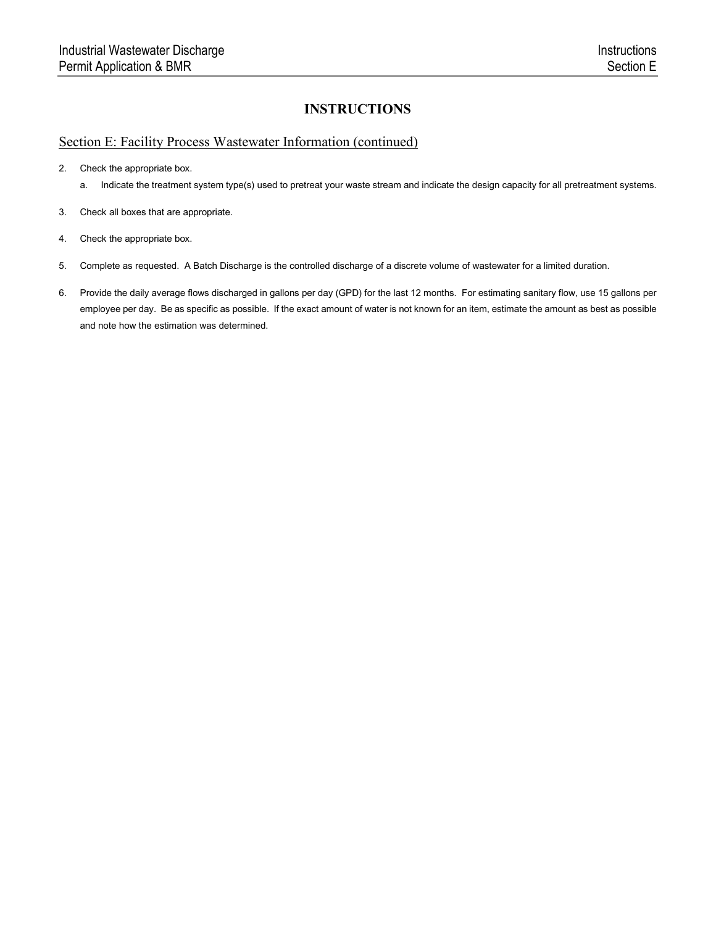### Section E: Facility Process Wastewater Information (continued)

2. Check the appropriate box.

- a. Indicate the treatment system type(s) used to pretreat your waste stream and indicate the design capacity for all pretreatment systems.
- 3. Check all boxes that are appropriate.
- 4. Check the appropriate box.
- 5. Complete as requested. A Batch Discharge is the controlled discharge of a discrete volume of wastewater for a limited duration.
- 6. Provide the daily average flows discharged in gallons per day (GPD) for the last 12 months. For estimating sanitary flow, use 15 gallons per employee per day. Be as specific as possible. If the exact amount of water is not known for an item, estimate the amount as best as possible and note how the estimation was determined.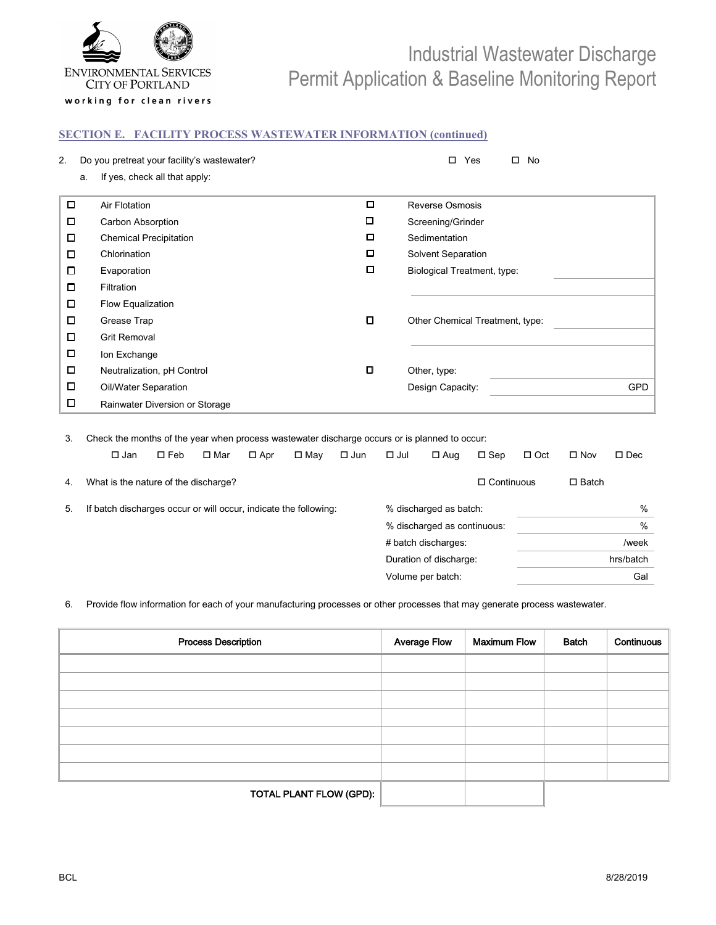

working for clean rivers

#### **SECTION E. FACILITY PROCESS WASTEWATER INFORMATION (continued)**

| 2.     |    | Do you pretreat your facility's wastewater? |   | $\Box$<br>Yes<br>No             |            |
|--------|----|---------------------------------------------|---|---------------------------------|------------|
|        | a. | If yes, check all that apply:               |   |                                 |            |
| $\Box$ |    | Air Flotation                               | ◘ | <b>Reverse Osmosis</b>          |            |
| □      |    | Carbon Absorption                           | O | Screening/Grinder               |            |
| □      |    | <b>Chemical Precipitation</b>               | □ | Sedimentation                   |            |
| □      |    | Chlorination                                | ◘ | Solvent Separation              |            |
| о      |    | Evaporation                                 | ◻ | Biological Treatment, type:     |            |
| $\Box$ |    | Filtration                                  |   |                                 |            |
| □      |    | Flow Equalization                           |   |                                 |            |
| □      |    | Grease Trap                                 | о | Other Chemical Treatment, type: |            |
| □      |    | <b>Grit Removal</b>                         |   |                                 |            |
| □      |    | Ion Exchange                                |   |                                 |            |
| □      |    | Neutralization, pH Control                  | o | Other, type:                    |            |
| □      |    | Oil/Water Separation                        |   | Design Capacity:                | <b>GPD</b> |
| □      |    | Rainwater Diversion or Storage              |   |                                 |            |

3. Check the months of the year when process wastewater discharge occurs or is planned to occur:

|    | $\square$ Jan                                                    | $\square$ Feb | □ Mar | $\Box$ Apr | □ Mav | $\square$ Jun | $\Box$ Jul | $\square$ Aug               | $\square$ Sep     | $\Box$ Oct | $\square$ Nov | $\square$ Dec |
|----|------------------------------------------------------------------|---------------|-------|------------|-------|---------------|------------|-----------------------------|-------------------|------------|---------------|---------------|
| 4. | What is the nature of the discharge?                             |               |       |            |       |               |            |                             | $\Box$ Continuous |            | $\Box$ Batch  |               |
| 5. | If batch discharges occur or will occur, indicate the following: |               |       |            |       |               |            | % discharged as batch:      |                   |            |               | %             |
|    |                                                                  |               |       |            |       |               |            | % discharged as continuous: |                   |            |               | %             |
|    |                                                                  |               |       |            |       |               |            | # batch discharges:         |                   |            |               | /week         |
|    |                                                                  |               |       |            |       |               |            | Duration of discharge:      |                   |            |               | hrs/batch     |
|    |                                                                  |               |       |            |       |               |            | Volume per batch:           |                   |            |               | Gal           |
|    |                                                                  |               |       |            |       |               |            |                             |                   |            |               |               |

6. Provide flow information for each of your manufacturing processes or other processes that may generate process wastewater.

| <b>Process Description</b> | <b>Average Flow</b> | <b>Maximum Flow</b> | Batch | Continuous |
|----------------------------|---------------------|---------------------|-------|------------|
|                            |                     |                     |       |            |
|                            |                     |                     |       |            |
|                            |                     |                     |       |            |
|                            |                     |                     |       |            |
|                            |                     |                     |       |            |
|                            |                     |                     |       |            |
|                            |                     |                     |       |            |
| TOTAL PLANT FLOW (GPD):    |                     |                     |       |            |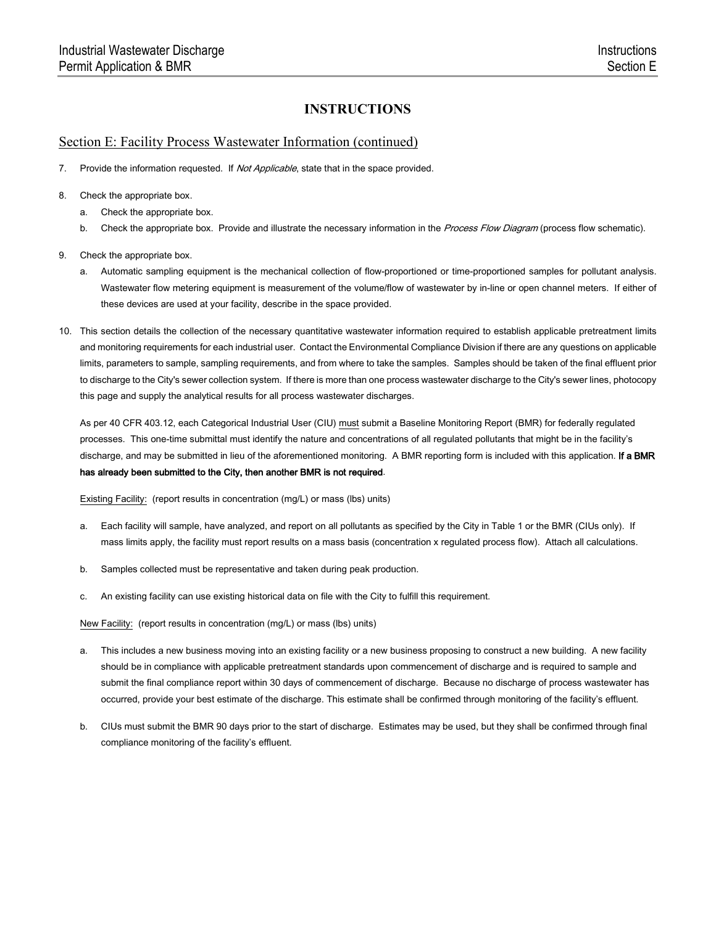#### Section E: Facility Process Wastewater Information (continued)

- 7. Provide the information requested. If Not Applicable, state that in the space provided.
- 8. Check the appropriate box.
	- a. Check the appropriate box.
	- b. Check the appropriate box. Provide and illustrate the necessary information in the Process Flow Diagram (process flow schematic).
- 9. Check the appropriate box.
	- a. Automatic sampling equipment is the mechanical collection of flow-proportioned or time-proportioned samples for pollutant analysis. Wastewater flow metering equipment is measurement of the volume/flow of wastewater by in-line or open channel meters. If either of these devices are used at your facility, describe in the space provided.
- 10. This section details the collection of the necessary quantitative wastewater information required to establish applicable pretreatment limits and monitoring requirements for each industrial user. Contact the Environmental Compliance Division if there are any questions on applicable limits, parameters to sample, sampling requirements, and from where to take the samples. Samples should be taken of the final effluent prior to discharge to the City's sewer collection system. If there is more than one process wastewater discharge to the City's sewer lines, photocopy this page and supply the analytical results for all process wastewater discharges.

As per 40 CFR 403.12, each Categorical Industrial User (CIU) must submit a Baseline Monitoring Report (BMR) for federally regulated processes. This one-time submittal must identify the nature and concentrations of all regulated pollutants that might be in the facility's discharge, and may be submitted in lieu of the aforementioned monitoring. A BMR reporting form is included with this application. If a BMR has already been submitted to the City, then another BMR is not required.

Existing Facility: (report results in concentration (mg/L) or mass (lbs) units)

- a. Each facility will sample, have analyzed, and report on all pollutants as specified by the City in Table 1 or the BMR (CIUs only). If mass limits apply, the facility must report results on a mass basis (concentration x regulated process flow). Attach all calculations.
- b. Samples collected must be representative and taken during peak production.
- c. An existing facility can use existing historical data on file with the City to fulfill this requirement.

New Facility: (report results in concentration (mg/L) or mass (lbs) units)

- a. This includes a new business moving into an existing facility or a new business proposing to construct a new building. A new facility should be in compliance with applicable pretreatment standards upon commencement of discharge and is required to sample and submit the final compliance report within 30 days of commencement of discharge. Because no discharge of process wastewater has occurred, provide your best estimate of the discharge. This estimate shall be confirmed through monitoring of the facility's effluent.
- b. CIUs must submit the BMR 90 days prior to the start of discharge. Estimates may be used, but they shall be confirmed through final compliance monitoring of the facility's effluent.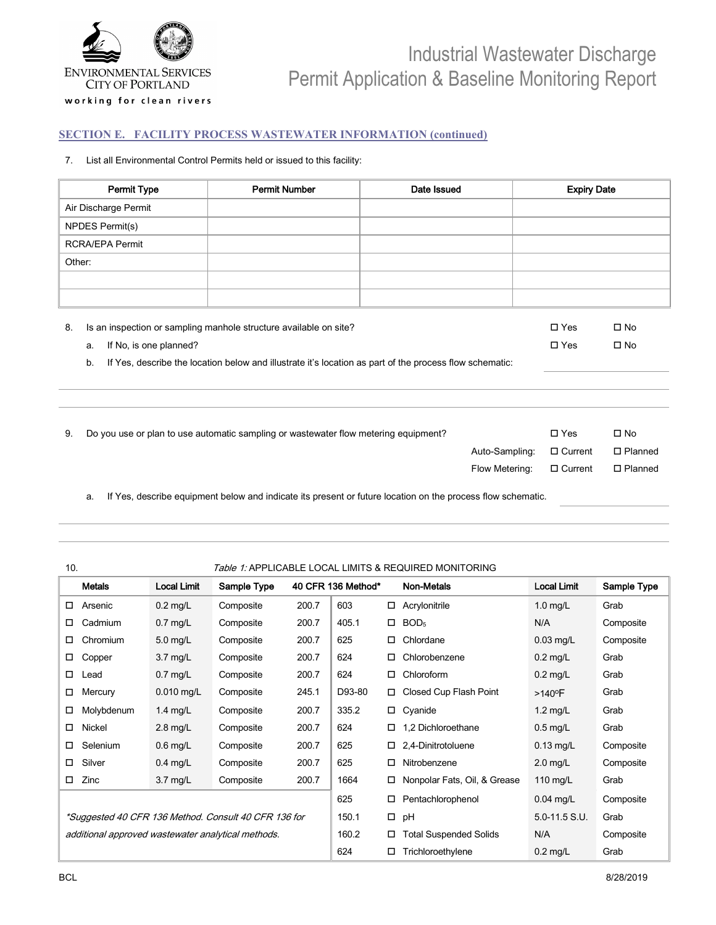

#### **SECTION E. FACILITY PROCESS WASTEWATER INFORMATION (continued)**

#### 7. List all Environmental Control Permits held or issued to this facility:

| Permit Type                                                                                                                                                               | <b>Permit Number</b>                                                                                    | Date Issued    | <b>Expiry Date</b> |                |  |  |  |  |
|---------------------------------------------------------------------------------------------------------------------------------------------------------------------------|---------------------------------------------------------------------------------------------------------|----------------|--------------------|----------------|--|--|--|--|
| Air Discharge Permit                                                                                                                                                      |                                                                                                         |                |                    |                |  |  |  |  |
| NPDES Permit(s)                                                                                                                                                           |                                                                                                         |                |                    |                |  |  |  |  |
| <b>RCRA/EPA Permit</b>                                                                                                                                                    |                                                                                                         |                |                    |                |  |  |  |  |
| Other:                                                                                                                                                                    |                                                                                                         |                |                    |                |  |  |  |  |
|                                                                                                                                                                           |                                                                                                         |                |                    |                |  |  |  |  |
|                                                                                                                                                                           |                                                                                                         |                |                    |                |  |  |  |  |
| $\square$ Yes<br>Is an inspection or sampling manhole structure available on site?<br>$\square$ No<br>8.<br>If No, is one planned?<br>$\square$ Yes<br>$\square$ No<br>a. |                                                                                                         |                |                    |                |  |  |  |  |
| b.                                                                                                                                                                        | If Yes, describe the location below and illustrate it's location as part of the process flow schematic: |                |                    |                |  |  |  |  |
|                                                                                                                                                                           |                                                                                                         |                |                    |                |  |  |  |  |
|                                                                                                                                                                           |                                                                                                         |                |                    |                |  |  |  |  |
| 9.                                                                                                                                                                        | Do you use or plan to use automatic sampling or wastewater flow metering equipment?                     |                | $\square$ Yes      | $\square$ No   |  |  |  |  |
|                                                                                                                                                                           |                                                                                                         | Auto-Sampling: | $\Box$ Current     | $\Box$ Planned |  |  |  |  |
|                                                                                                                                                                           |                                                                                                         | Flow Metering: | $\Box$ Current     | $\Box$ Planned |  |  |  |  |
|                                                                                                                                                                           |                                                                                                         |                |                    |                |  |  |  |  |

a. If Yes, describe equipment below and indicate its present or future location on the process flow schematic.

| 10.             | Table 1: APPLICABLE LOCAL LIMITS & REQUIRED MONITORING |             |       |                    |        |                                  |   |                       |             |
|-----------------|--------------------------------------------------------|-------------|-------|--------------------|--------|----------------------------------|---|-----------------------|-------------|
| Metals          | <b>Local Limit</b>                                     | Sample Type |       | 40 CFR 136 Method* |        | Non-Metals                       |   | <b>Local Limit</b>    | Sample Type |
| Arsenic<br>□    | $0.2$ mg/L                                             | Composite   | 200.口 | $\Box$             | □      | Acrylonitrile                    |   | $1.0$ $mg/L$          | Grab        |
| Cadmium<br>□    | $0.7$ $m$ g/L                                          | Composite   | 200.口 | М                  | □      | BOD <sub>5</sub>                 |   | N/A                   | Composite   |
| Chromium<br>□   | mg/L                                                   | Composite   | 200.口 | $6\square$         | □      | Chlordane                        |   | $0.03$ mg/L           | Composite   |
| □<br>Copper     | mg/L                                                   | Composite   | 200.口 | 624                | □      | Chlorobenzene                    |   | $0.2$ $mg/L$          | Grab        |
| □<br>Lead       | $0.7$ $m$ g/L                                          | Composite   | 200.口 | 624                | □      | Chloroform                       |   | $0.2$ $m$ g/L         | Grab        |
| Mercury<br>□    | $0.010$ mg/L                                           | Composite   | О     | D93-80             | 0      | Closed Cup Flash Point           |   | >0040 °F□             | Grab        |
| Molybdenum<br>□ | $1.4$ $m$ g/L                                          | Composite   | 200.口 | $335.\Box$         |        | Cyanide                          |   | 1.2mmg/L □            | Grab        |
| Nickel<br>□     | $2.8$ $mg/L$                                           | Composite   | 200.口 | 624                | □      | 1,2 Dichloroethane               |   | $0.5$ mg/L $\Box$     | Grab        |
| Selenium<br>□   | $0.6$ $mq/L$                                           | Composite   | 200.口 | 625                | □      | 2,4-Dinitrotoluene               |   | $0.13$ mg/L $\square$ | Composite   |
| Silver<br>□     | $0.4$ $mq/L$                                           | Composite   | 200.口 | 625                | □      | Nitrobenzene                     |   | $2.0$ $mg/L$          | Composite   |
| Zinc<br>0       | 3.7 <sub>mag/L</sub>                                   | Composite   | 200.口 | 1664               | □      | Nonpolar Oil <sup>2</sup> Grease | □ | $1$ $m/g/L$           | Grab        |
|                 | *Suggested 40 CFR 136 Method. Consult 40 CFR 136 for   |             |       | 625                | □      | Pentachlorophenol                |   | $0.04$ mg/L           | Composite   |
|                 | additional approved wastewater analytical methods.     |             |       | 150.□              | $\Box$ | pH                               |   | $5.0 - 11.5$ S.U.     | Grab        |
|                 |                                                        |             |       | О                  | □      | <b>Fotal Suspended Solids</b>    |   | N/A                   | Composite   |
|                 | Local limits last evaluated and adopted in 2016.       |             |       | 624                | □      | Trichloroethylene                |   | $0.2$ $m$ g/L         | Grab        |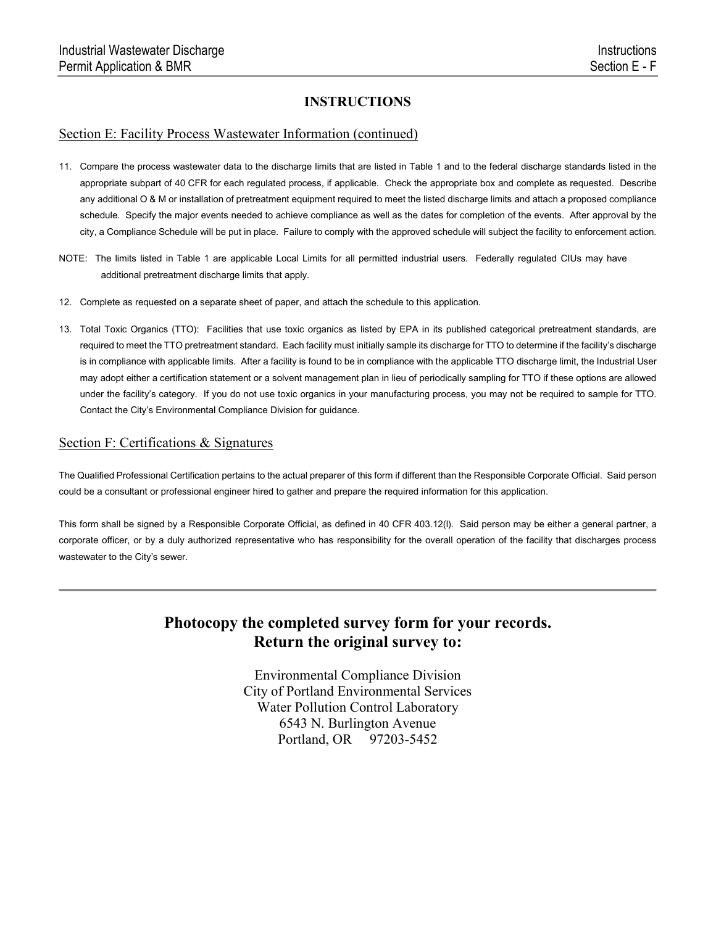#### Section E: Facility Process Wastewater Information (continued)

- 11. Compare the process wastewater data to the discharge limits that are listed in Table 1 and to the federal discharge standards listed in the appropriate subpart of 40 CFR for each regulated process, if applicable. Check the appropriate box and complete as requested. Describe any additional O & M or installation of pretreatment equipment required to meet the listed discharge limits and attach a proposed compliance schedule. Specify the major events needed to achieve compliance as well as the dates for completion of the events. After approval by the city, a Compliance Schedule will be put in place. Failure to comply with the approved schedule will subject the facility to enforcement action.
- NOTE: The limits listed in Table 1 are applicable Local Limits for all permitted industrial users. Federally regulated CIUs may have additional pretreatment discharge limits that apply.
- 12. Complete as requested on a separate sheet of paper, and attach the schedule to this application.
- 13. Total Toxic Organics (TTO): Facilities that use toxic organics as listed by EPA in its published categorical pretreatment standards, are required to meet the TTO pretreatment standard. Each facility must initially sample its discharge for TTO to determine if the facility's discharge is in compliance with applicable limits. After a facility is found to be in compliance with the applicable TTO discharge limit, the Industrial User may adopt either a certification statement or a solvent management plan in lieu of periodically sampling for TTO if these options are allowed under the facility's category. If you do not use toxic organics in your manufacturing process, you may not be required to sample for TTO. Contact the City's Environmental Compliance Division for guidance.

#### Section F: Certifications & Signatures

The Qualified Professional Certification pertains to the actual preparer of this form if different than the Responsible Corporate Official. Said person could be a consultant or professional engineer hired to gather and prepare the required information for this application.

This form shall be signed by a Responsible Corporate Official, as defined in 40 CFR 403.12(l). Said person may be either a general partner, a corporate officer, or by a duly authorized representative who has responsibility for the overall operation of the facility that discharges process wastewater to the City's sewer.

# **Photocopy the completed survey form for your records. Return the original survey to:**

Environmental Compliance Division City of Portland Environmental Services Water Pollution Control Laboratory 6543 N. Burlington Avenue Portland, OR 97203-5452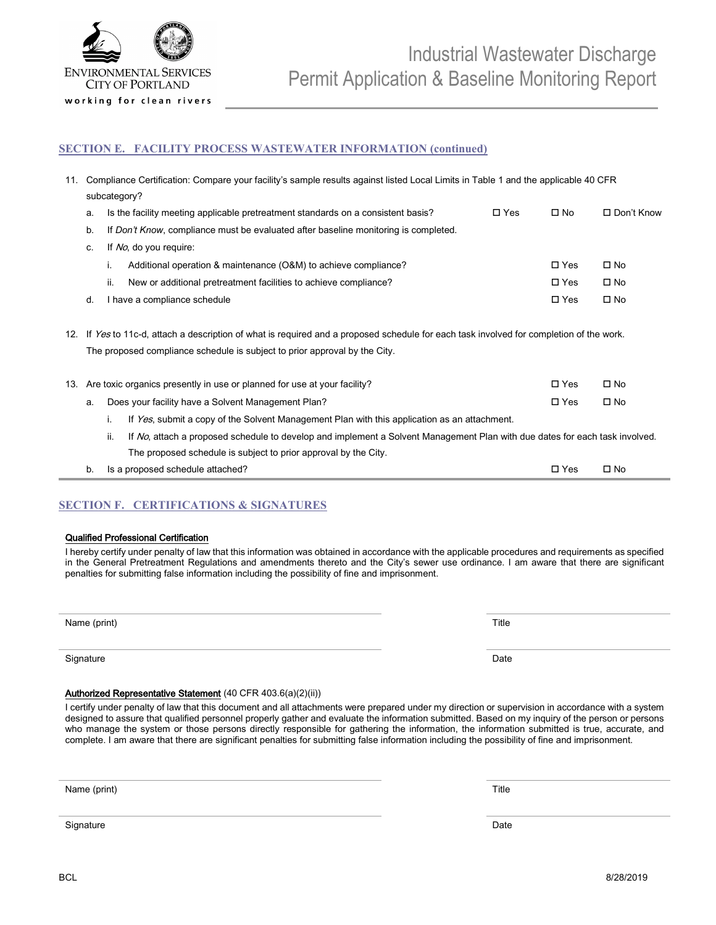

#### **SECTION E. FACILITY PROCESS WASTEWATER INFORMATION (continued)**

| 11. |                                                                                                                                    | Compliance Certification: Compare your facility's sample results against listed Local Limits in Table 1 and the applicable 40 CFR        |            |               |                   |  |  |  |
|-----|------------------------------------------------------------------------------------------------------------------------------------|------------------------------------------------------------------------------------------------------------------------------------------|------------|---------------|-------------------|--|--|--|
|     |                                                                                                                                    | subcategory?                                                                                                                             |            |               |                   |  |  |  |
|     | a.                                                                                                                                 | Is the facility meeting applicable pretreatment standards on a consistent basis?                                                         | $\Box$ Yes | $\square$ No  | $\Box$ Don't Know |  |  |  |
|     | b.                                                                                                                                 | If Don't Know, compliance must be evaluated after baseline monitoring is completed.                                                      |            |               |                   |  |  |  |
|     | C.                                                                                                                                 | If No, do you require:                                                                                                                   |            |               |                   |  |  |  |
|     |                                                                                                                                    | Additional operation & maintenance (O&M) to achieve compliance?<br>i.                                                                    |            | $\square$ Yes | $\square$ No      |  |  |  |
|     |                                                                                                                                    | ii.<br>New or additional pretreatment facilities to achieve compliance?                                                                  |            | $\square$ Yes | $\square$ No      |  |  |  |
|     | d.                                                                                                                                 | I have a compliance schedule                                                                                                             |            | $\square$ Yes | $\square$ No      |  |  |  |
|     |                                                                                                                                    |                                                                                                                                          |            |               |                   |  |  |  |
|     |                                                                                                                                    | 12. If Yes to 11c-d, attach a description of what is required and a proposed schedule for each task involved for completion of the work. |            |               |                   |  |  |  |
|     | The proposed compliance schedule is subject to prior approval by the City.                                                         |                                                                                                                                          |            |               |                   |  |  |  |
|     |                                                                                                                                    |                                                                                                                                          |            |               |                   |  |  |  |
| 13. |                                                                                                                                    | Are toxic organics presently in use or planned for use at your facility?                                                                 |            | $\square$ Yes | $\square$ No      |  |  |  |
|     | a.                                                                                                                                 | Does your facility have a Solvent Management Plan?                                                                                       |            | $\square$ Yes | $\square$ No      |  |  |  |
|     | i.<br>If Yes, submit a copy of the Solvent Management Plan with this application as an attachment.                                 |                                                                                                                                          |            |               |                   |  |  |  |
|     | ii.<br>If No, attach a proposed schedule to develop and implement a Solvent Management Plan with due dates for each task involved. |                                                                                                                                          |            |               |                   |  |  |  |
|     |                                                                                                                                    | The proposed schedule is subject to prior approval by the City.                                                                          |            |               |                   |  |  |  |
|     | b.                                                                                                                                 | Is a proposed schedule attached?                                                                                                         |            | $\square$ Yes | $\square$ No      |  |  |  |

#### **SECTION F. CERTIFICATIONS & SIGNATURES**

#### Qualified Professional Certification

I hereby certify under penalty of law that this information was obtained in accordance with the applicable procedures and requirements as specified in the General Pretreatment Regulations and amendments thereto and the City's sewer use ordinance. I am aware that there are significant penalties for submitting false information including the possibility of fine and imprisonment.

Name (print) Title

Signature Date **Date of the Contract of Contract Contract of Contract Contract Contract Only and Contract Only and Contract Only and Contract Only and Contract Only and Only and Only and Only and Only and Only and Only and** 

#### Authorized Representative Statement (40 CFR 403.6(a)(2)(ii))

I certify under penalty of law that this document and all attachments were prepared under my direction or supervision in accordance with a system designed to assure that qualified personnel properly gather and evaluate the information submitted. Based on my inquiry of the person or persons who manage the system or those persons directly responsible for gathering the information, the information submitted is true, accurate, and complete. I am aware that there are significant penalties for submitting false information including the possibility of fine and imprisonment.

Name (print) Title

Signature Date **Date of the Contract of Contract Contract of Contract Contract Contract Only and Contract Only and Contract Only and Contract Only and Contract Only and Only and Only and Only and Only and Only and Only and**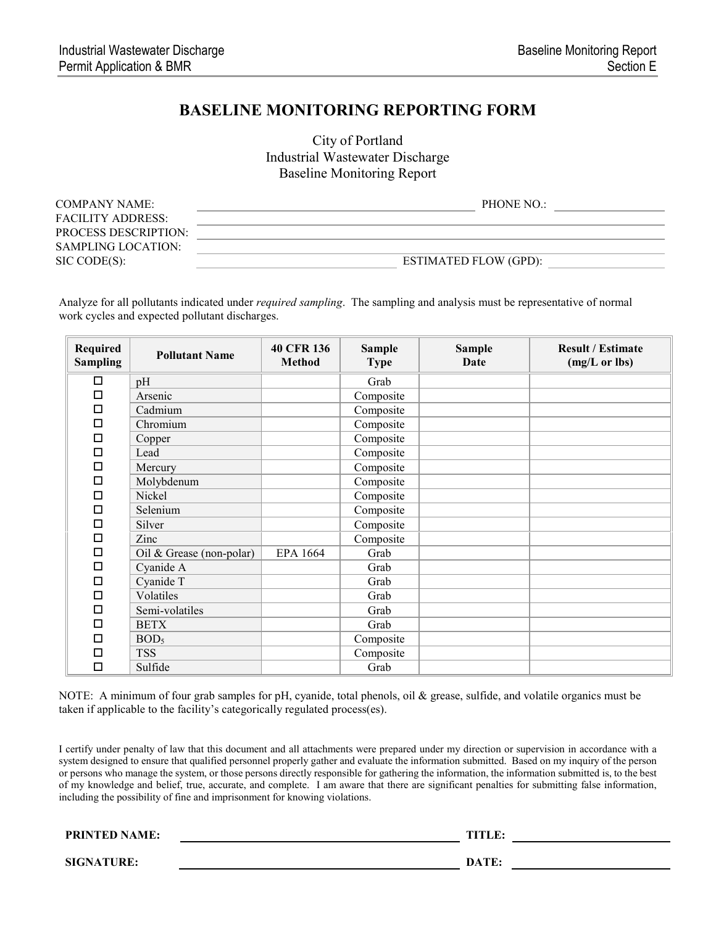# **BASELINE MONITORING REPORTING FORM**

City of Portland Industrial Wastewater Discharge Baseline Monitoring Report

| COMPANY NAME:               | PHONE NO.                    |
|-----------------------------|------------------------------|
| <b>FACILITY ADDRESS:</b>    |                              |
| <b>PROCESS DESCRIPTION:</b> |                              |
| SAMPLING LOCATION:          |                              |
| SIC CODE(S):                | <b>ESTIMATED FLOW (GPD):</b> |

Analyze for all pollutants indicated under *required sampling*. The sampling and analysis must be representative of normal work cycles and expected pollutant discharges.

| <b>Required</b><br><b>Sampling</b> | <b>Pollutant Name</b>    | <b>40 CFR 136</b><br><b>Method</b> | <b>Sample</b><br><b>Type</b> | <b>Sample</b><br>Date | <b>Result / Estimate</b><br>(mg/L or lbs) |
|------------------------------------|--------------------------|------------------------------------|------------------------------|-----------------------|-------------------------------------------|
| □                                  | pH                       |                                    | Grab                         |                       |                                           |
| □                                  | Arsenic                  |                                    | Composite                    |                       |                                           |
| $\Box$                             | Cadmium                  |                                    | Composite                    |                       |                                           |
| □                                  | Chromium                 |                                    | Composite                    |                       |                                           |
| $\Box$                             | Copper                   |                                    | Composite                    |                       |                                           |
| □                                  | Lead                     |                                    | Composite                    |                       |                                           |
| $\Box$                             | Mercury                  |                                    | Composite                    |                       |                                           |
| □                                  | Molybdenum               |                                    | Composite                    |                       |                                           |
| □                                  | Nickel                   |                                    | Composite                    |                       |                                           |
| □                                  | Selenium                 |                                    | Composite                    |                       |                                           |
| □                                  | Silver                   |                                    | Composite                    |                       |                                           |
| □                                  | Zinc                     |                                    | Composite                    |                       |                                           |
| □                                  | Oil & Grease (non-polar) | EPA 1664                           | Grab                         |                       |                                           |
| $\Box$                             | Cyanide A                |                                    | Grab                         |                       |                                           |
| □                                  | Cyanide T                |                                    | Grab                         |                       |                                           |
| □                                  | Volatiles                |                                    | Grab                         |                       |                                           |
| $\Box$                             | Semi-volatiles           |                                    | Grab                         |                       |                                           |
| □                                  | <b>BETX</b>              |                                    | Grab                         |                       |                                           |
| □                                  | BOD <sub>5</sub>         |                                    | Composite                    |                       |                                           |
| □                                  | <b>TSS</b>               |                                    | Composite                    |                       |                                           |
| $\Box$                             | Sulfide                  |                                    | Grab                         |                       |                                           |

NOTE: A minimum of four grab samples for pH, cyanide, total phenols, oil & grease, sulfide, and volatile organics must be taken if applicable to the facility's categorically regulated process(es).

I certify under penalty of law that this document and all attachments were prepared under my direction or supervision in accordance with a system designed to ensure that qualified personnel properly gather and evaluate the information submitted. Based on my inquiry of the person or persons who manage the system, or those persons directly responsible for gathering the information, the information submitted is, to the best of my knowledge and belief, true, accurate, and complete. I am aware that there are significant penalties for submitting false information, including the possibility of fine and imprisonment for knowing violations.

PRINTED NAME: TITLE:

**SIGNATURE: DATE:**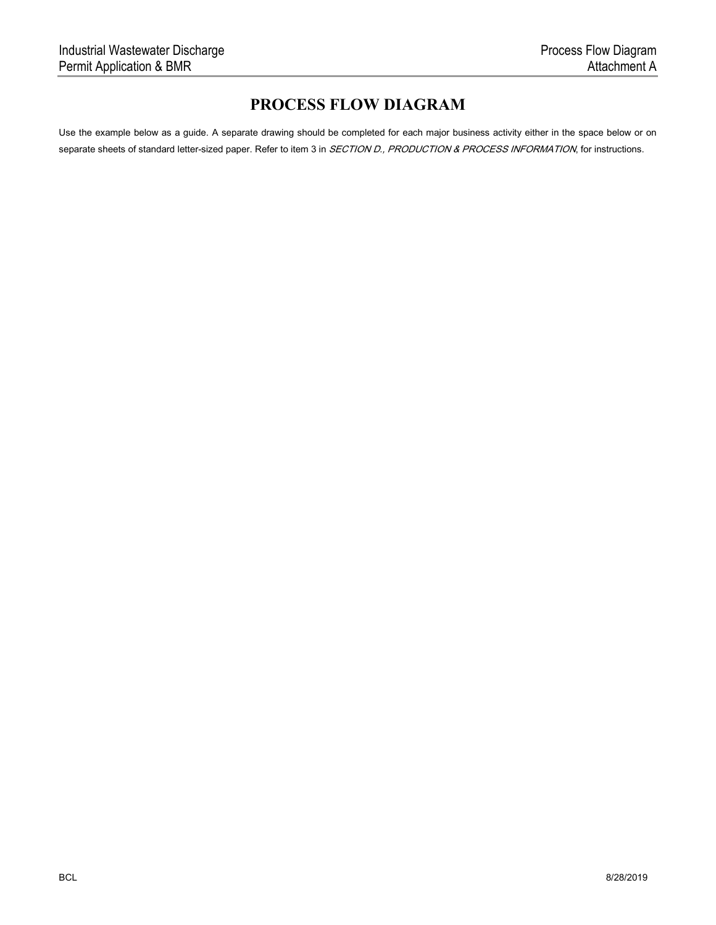# **PROCESS FLOW DIAGRAM**

Use the example below as a guide. A separate drawing should be completed for each major business activity either in the space below or on separate sheets of standard letter-sized paper. Refer to item 3 in SECTION D., PRODUCTION & PROCESS INFORMATION, for instructions.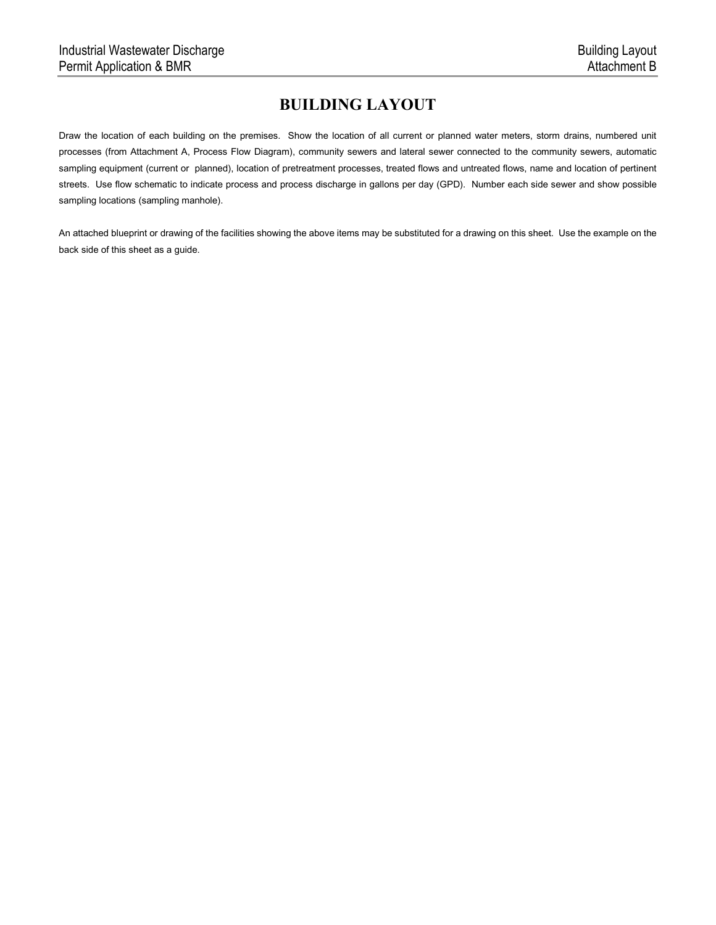# **BUILDING LAYOUT**

Draw the location of each building on the premises. Show the location of all current or planned water meters, storm drains, numbered unit processes (from Attachment A, Process Flow Diagram), community sewers and lateral sewer connected to the community sewers, automatic sampling equipment (current or planned), location of pretreatment processes, treated flows and untreated flows, name and location of pertinent streets. Use flow schematic to indicate process and process discharge in gallons per day (GPD). Number each side sewer and show possible sampling locations (sampling manhole).

An attached blueprint or drawing of the facilities showing the above items may be substituted for a drawing on this sheet. Use the example on the back side of this sheet as a guide.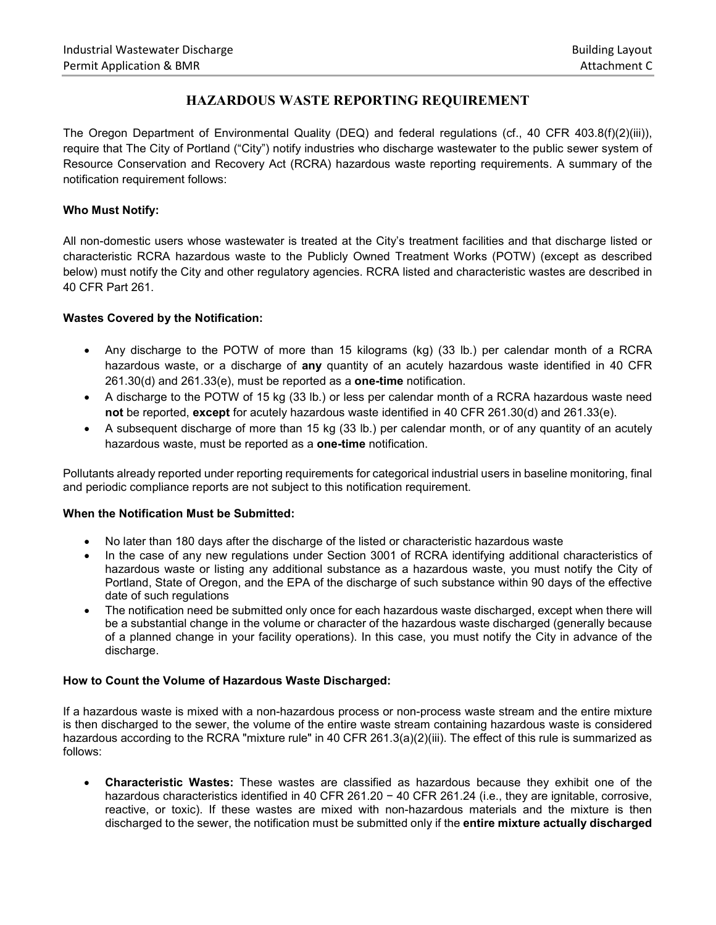### **HAZARDOUS WASTE REPORTING REQUIREMENT**

The Oregon Department of Environmental Quality (DEQ) and federal regulations (cf., 40 CFR 403.8(f)(2)(iii)), require that The City of Portland ("City") notify industries who discharge wastewater to the public sewer system of Resource Conservation and Recovery Act (RCRA) hazardous waste reporting requirements. A summary of the notification requirement follows:

#### **Who Must Notify:**

All non-domestic users whose wastewater is treated at the City's treatment facilities and that discharge listed or characteristic RCRA hazardous waste to the Publicly Owned Treatment Works (POTW) (except as described below) must notify the City and other regulatory agencies. RCRA listed and characteristic wastes are described in 40 CFR Part 261.

#### **Wastes Covered by the Notification:**

- Any discharge to the POTW of more than 15 kilograms (kg) (33 lb.) per calendar month of a RCRA hazardous waste, or a discharge of **any** quantity of an acutely hazardous waste identified in 40 CFR 261.30(d) and 261.33(e), must be reported as a **one-time** notification.
- A discharge to the POTW of 15 kg (33 lb.) or less per calendar month of a RCRA hazardous waste need **not** be reported, **except** for acutely hazardous waste identified in 40 CFR 261.30(d) and 261.33(e).
- A subsequent discharge of more than 15 kg (33 lb.) per calendar month, or of any quantity of an acutely hazardous waste, must be reported as a **one-time** notification.

Pollutants already reported under reporting requirements for categorical industrial users in baseline monitoring, final and periodic compliance reports are not subject to this notification requirement.

#### **When the Notification Must be Submitted:**

- No later than 180 days after the discharge of the listed or characteristic hazardous waste
- In the case of any new regulations under Section 3001 of RCRA identifying additional characteristics of hazardous waste or listing any additional substance as a hazardous waste, you must notify the City of Portland, State of Oregon, and the EPA of the discharge of such substance within 90 days of the effective date of such regulations
- The notification need be submitted only once for each hazardous waste discharged, except when there will be a substantial change in the volume or character of the hazardous waste discharged (generally because of a planned change in your facility operations). In this case, you must notify the City in advance of the discharge.

#### **How to Count the Volume of Hazardous Waste Discharged:**

If a hazardous waste is mixed with a non-hazardous process or non-process waste stream and the entire mixture is then discharged to the sewer, the volume of the entire waste stream containing hazardous waste is considered hazardous according to the RCRA "mixture rule" in 40 CFR 261.3(a)(2)(iii). The effect of this rule is summarized as follows:

• **Characteristic Wastes:** These wastes are classified as hazardous because they exhibit one of the hazardous characteristics identified in 40 CFR 261.20 − 40 CFR 261.24 (i.e., they are ignitable, corrosive, reactive, or toxic). If these wastes are mixed with non-hazardous materials and the mixture is then discharged to the sewer, the notification must be submitted only if the **entire mixture actually discharged**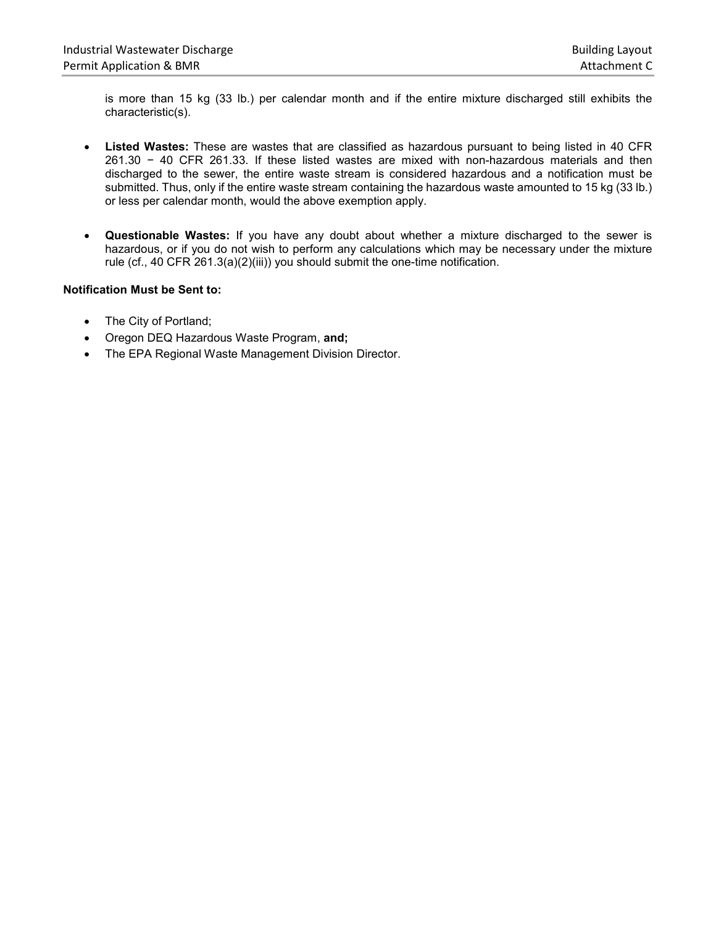is more than 15 kg (33 lb.) per calendar month and if the entire mixture discharged still exhibits the characteristic(s).

- **Listed Wastes:** These are wastes that are classified as hazardous pursuant to being listed in 40 CFR 261.30 − 40 CFR 261.33. If these listed wastes are mixed with non-hazardous materials and then discharged to the sewer, the entire waste stream is considered hazardous and a notification must be submitted. Thus, only if the entire waste stream containing the hazardous waste amounted to 15 kg (33 lb.) or less per calendar month, would the above exemption apply.
- **Questionable Wastes:** If you have any doubt about whether a mixture discharged to the sewer is hazardous, or if you do not wish to perform any calculations which may be necessary under the mixture rule (cf., 40 CFR 261.3(a)(2)(iii)) you should submit the one-time notification.

#### **Notification Must be Sent to:**

- The City of Portland;
- Oregon DEQ Hazardous Waste Program, **and;**
- The EPA Regional Waste Management Division Director.